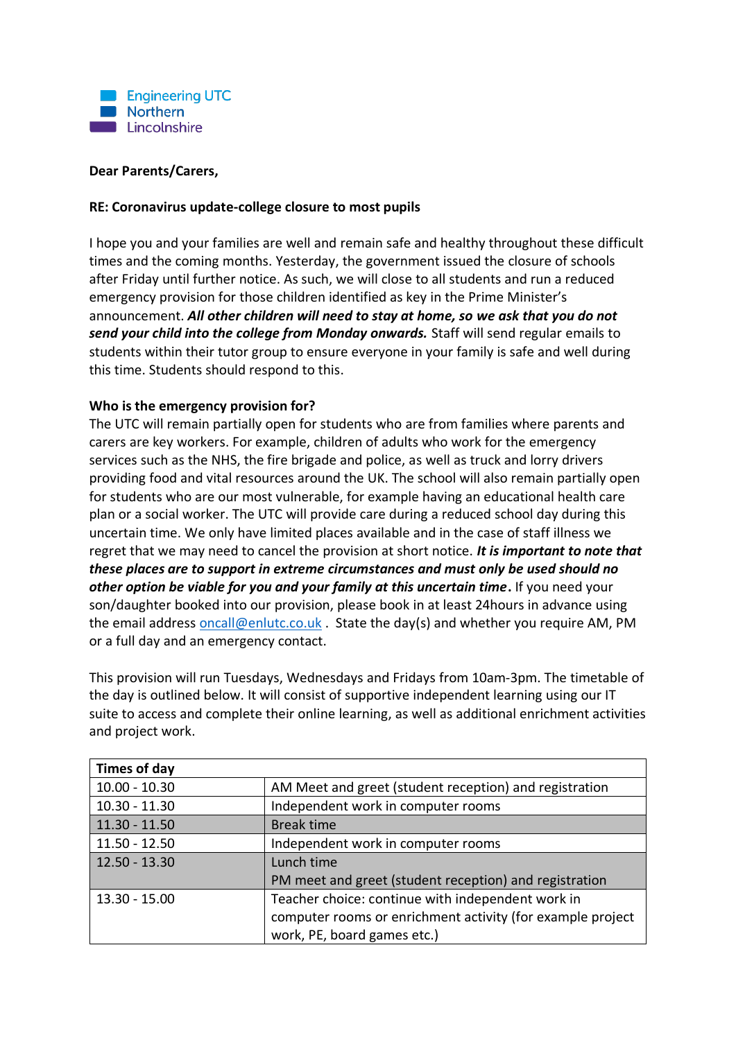

#### **Dear Parents/Carers,**

#### **RE: Coronavirus update-college closure to most pupils**

I hope you and your families are well and remain safe and healthy throughout these difficult times and the coming months. Yesterday, the government issued the closure of schools after Friday until further notice. As such, we will close to all students and run a reduced emergency provision for those children identified as key in the Prime Minister's announcement. *All other children will need to stay at home, so we ask that you do not send your child into the college from Monday onwards.* Staff will send regular emails to students within their tutor group to ensure everyone in your family is safe and well during this time. Students should respond to this.

### **Who is the emergency provision for?**

The UTC will remain partially open for students who are from families where parents and carers are key workers. For example, children of adults who work for the emergency services such as the NHS, the fire brigade and police, as well as truck and lorry drivers providing food and vital resources around the UK. The school will also remain partially open for students who are our most vulnerable, for example having an educational health care plan or a social worker. The UTC will provide care during a reduced school day during this uncertain time. We only have limited places available and in the case of staff illness we regret that we may need to cancel the provision at short notice. *It is important to note that these places are to support in extreme circumstances and must only be used should no other option be viable for you and your family at this uncertain time***.** If you need your son/daughter booked into our provision, please book in at least 24hours in advance using the email address [oncall@enlutc.co.uk](mailto:oncall@enlutc.co.uk) . State the day(s) and whether you require AM, PM or a full day and an emergency contact.

This provision will run Tuesdays, Wednesdays and Fridays from 10am-3pm. The timetable of the day is outlined below. It will consist of supportive independent learning using our IT suite to access and complete their online learning, as well as additional enrichment activities and project work.

| Times of day    |                                                            |
|-----------------|------------------------------------------------------------|
| $10.00 - 10.30$ | AM Meet and greet (student reception) and registration     |
| $10.30 - 11.30$ | Independent work in computer rooms                         |
| $11.30 - 11.50$ | <b>Break time</b>                                          |
| $11.50 - 12.50$ | Independent work in computer rooms                         |
| $12.50 - 13.30$ | Lunch time                                                 |
|                 | PM meet and greet (student reception) and registration     |
| 13.30 - 15.00   | Teacher choice: continue with independent work in          |
|                 | computer rooms or enrichment activity (for example project |
|                 | work, PE, board games etc.)                                |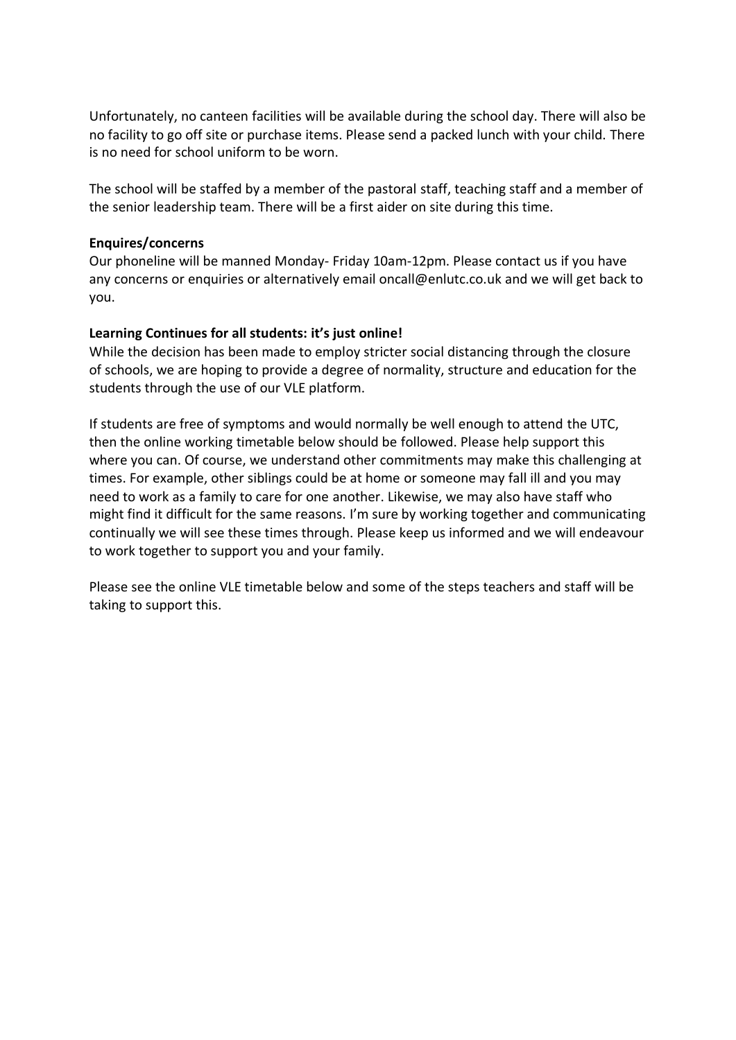Unfortunately, no canteen facilities will be available during the school day. There will also be no facility to go off site or purchase items. Please send a packed lunch with your child. There is no need for school uniform to be worn.

The school will be staffed by a member of the pastoral staff, teaching staff and a member of the senior leadership team. There will be a first aider on site during this time.

#### **Enquires/concerns**

Our phoneline will be manned Monday- Friday 10am-12pm. Please contact us if you have any concerns or enquiries or alternatively email oncall@enlutc.co.uk and we will get back to you.

### **Learning Continues for all students: it's just online!**

While the decision has been made to employ stricter social distancing through the closure of schools, we are hoping to provide a degree of normality, structure and education for the students through the use of our VLE platform.

If students are free of symptoms and would normally be well enough to attend the UTC, then the online working timetable below should be followed. Please help support this where you can. Of course, we understand other commitments may make this challenging at times. For example, other siblings could be at home or someone may fall ill and you may need to work as a family to care for one another. Likewise, we may also have staff who might find it difficult for the same reasons. I'm sure by working together and communicating continually we will see these times through. Please keep us informed and we will endeavour to work together to support you and your family.

Please see the online VLE timetable below and some of the steps teachers and staff will be taking to support this.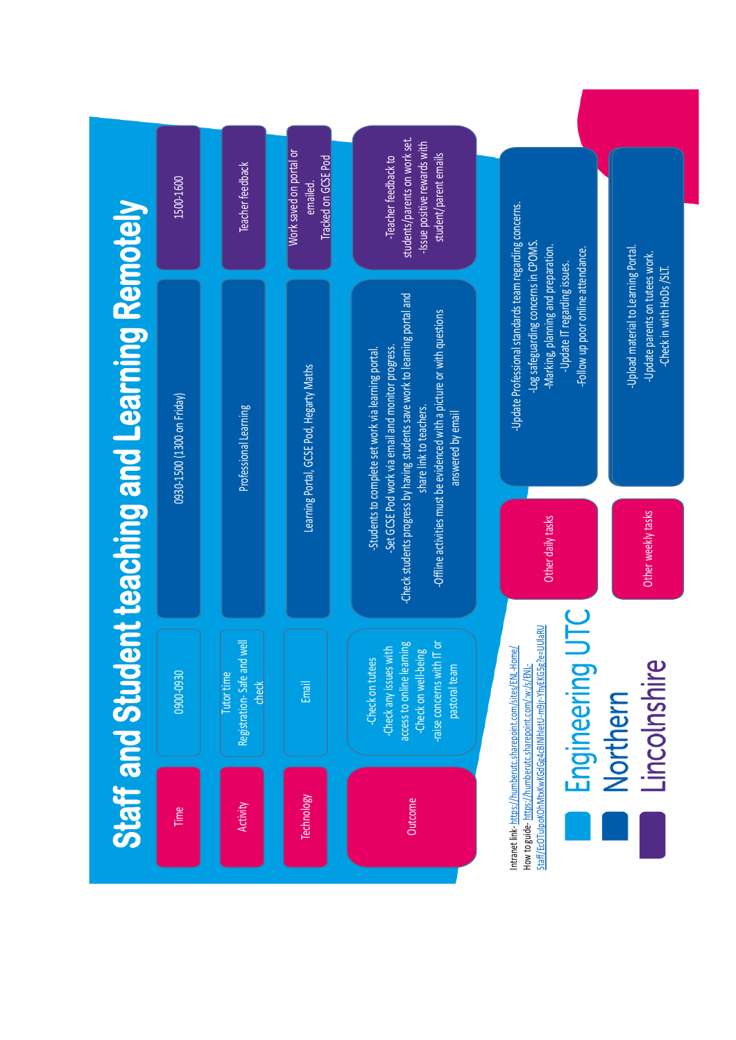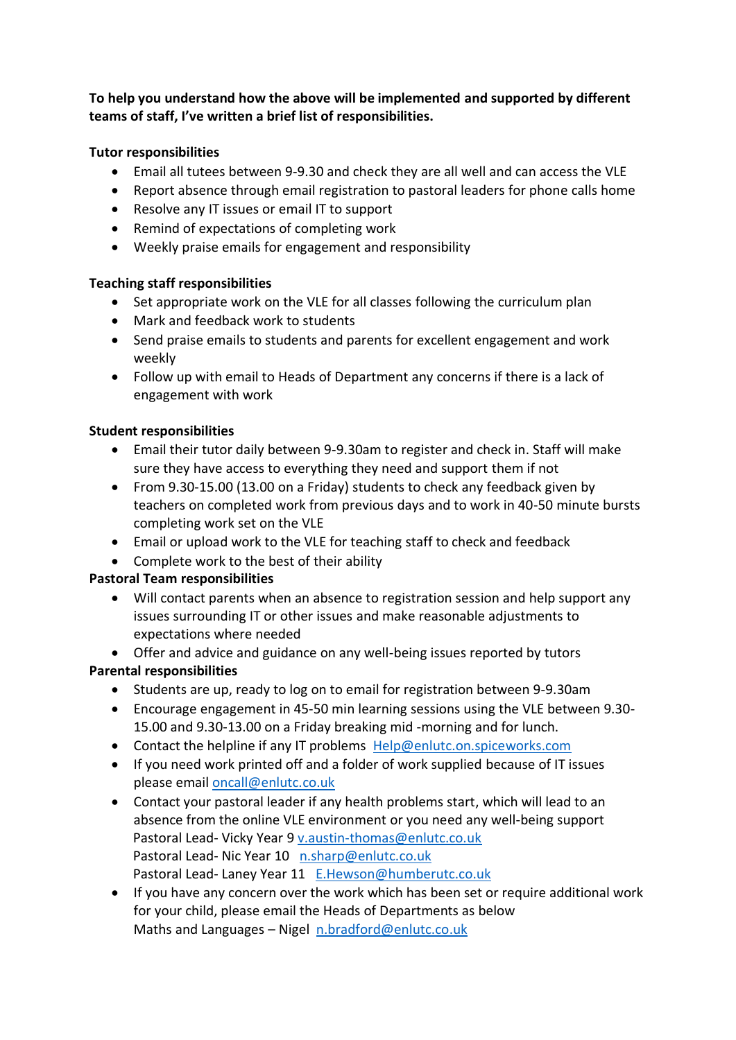**To help you understand how the above will be implemented and supported by different teams of staff, I've written a brief list of responsibilities.**

# **Tutor responsibilities**

- Email all tutees between 9-9.30 and check they are all well and can access the VLE
- Report absence through email registration to pastoral leaders for phone calls home
- Resolve any IT issues or email IT to support
- Remind of expectations of completing work
- Weekly praise emails for engagement and responsibility

## **Teaching staff responsibilities**

- Set appropriate work on the VLE for all classes following the curriculum plan
- Mark and feedback work to students
- Send praise emails to students and parents for excellent engagement and work weekly
- Follow up with email to Heads of Department any concerns if there is a lack of engagement with work

## **Student responsibilities**

- Email their tutor daily between 9-9.30am to register and check in. Staff will make sure they have access to everything they need and support them if not
- From 9.30-15.00 (13.00 on a Friday) students to check any feedback given by teachers on completed work from previous days and to work in 40-50 minute bursts completing work set on the VLE
- Email or upload work to the VLE for teaching staff to check and feedback
- Complete work to the best of their ability

# **Pastoral Team responsibilities**

- Will contact parents when an absence to registration session and help support any issues surrounding IT or other issues and make reasonable adjustments to expectations where needed
- Offer and advice and guidance on any well-being issues reported by tutors

# **Parental responsibilities**

- Students are up, ready to log on to email for registration between 9-9.30am
- Encourage engagement in 45-50 min learning sessions using the VLE between 9.30- 15.00 and 9.30-13.00 on a Friday breaking mid -morning and for lunch.
- Contact the helpline if any IT problems [Help@enlutc.on.spiceworks.com](mailto:Help@enlutc.on.spiceworks.com)
- If you need work printed off and a folder of work supplied because of IT issues please emai[l oncall@enlutc.co.uk](mailto:oncall@enlutc.co.uk)
- Contact your pastoral leader if any health problems start, which will lead to an absence from the online VLE environment or you need any well-being support Pastoral Lead- Vicky Year 9 [v.austin-thomas@enlutc.co.uk](mailto:v.austin-thomas@enlutc.co.uk) Pastoral Lead- Nic Year 10 [n.sharp@enlutc.co.uk](mailto:n.sharp@enlutc.co.uk) Pastoral Lead- Laney Year 11 [E.Hewson@humberutc.co.uk](mailto:E.Hewson@humberutc.co.uk)
- If you have any concern over the work which has been set or require additional work for your child, please email the Heads of Departments as below Maths and Languages – Nigel [n.bradford@enlutc.co.uk](mailto:n.bradford@enlutc.co.uk)